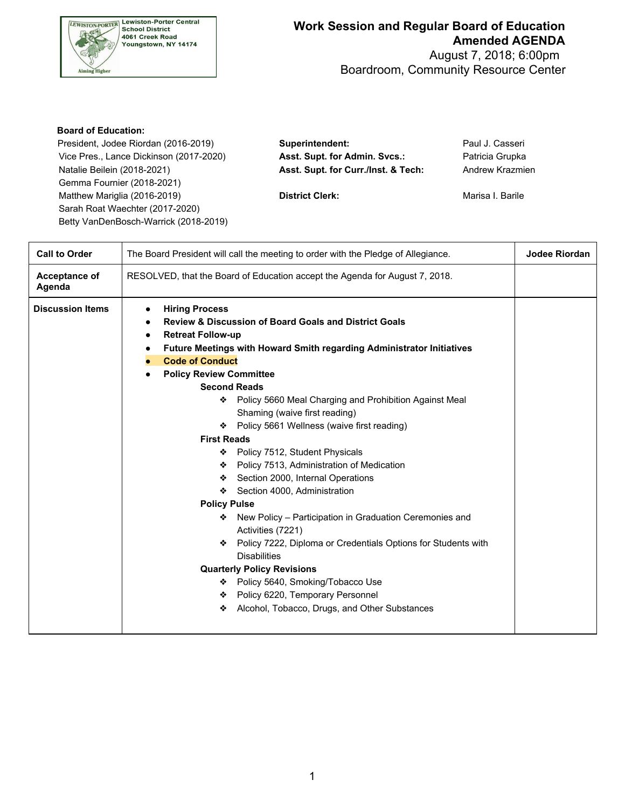

## **Work Session and Regular Board of Education Amended AGENDA**

 Boardroom, Community Resource Center August 7, 2018; 6:00pm

## **Board of Education:**

Vice Pres., Lance Dickinson (2017-2020) **Asst. Supt. for Admin. Svcs.:** Patricia Grupka Natalie Beilein (2018-2021) **Asst. Supt. for Curr./Inst. & Tech:** Andrew Krazmien Gemma Fournier (2018-2021) Matthew Mariglia (2016-2019) **District Clerk: District Clerk:** Marisa I. Barile Sarah Roat Waechter (2017-2020) Betty VanDenBosch-Warrick (2018-2019)

President, Jodee Riordan (2016-2019) **Superintendent:** Paul J. Casseri

| <b>Call to Order</b>    | The Board President will call the meeting to order with the Pledge of Allegiance.                                                                                                                                                                                                                                                                                                                                                                                                                                                                                                                                                                                                                                                                                                                                                                                                                                                                                                                              | Jodee Riordan |
|-------------------------|----------------------------------------------------------------------------------------------------------------------------------------------------------------------------------------------------------------------------------------------------------------------------------------------------------------------------------------------------------------------------------------------------------------------------------------------------------------------------------------------------------------------------------------------------------------------------------------------------------------------------------------------------------------------------------------------------------------------------------------------------------------------------------------------------------------------------------------------------------------------------------------------------------------------------------------------------------------------------------------------------------------|---------------|
| Acceptance of<br>Agenda | RESOLVED, that the Board of Education accept the Agenda for August 7, 2018.                                                                                                                                                                                                                                                                                                                                                                                                                                                                                                                                                                                                                                                                                                                                                                                                                                                                                                                                    |               |
| <b>Discussion Items</b> | <b>Hiring Process</b><br><b>Review &amp; Discussion of Board Goals and District Goals</b><br><b>Retreat Follow-up</b><br>$\bullet$<br>Future Meetings with Howard Smith regarding Administrator Initiatives<br>٠<br><b>Code of Conduct</b><br><b>Policy Review Committee</b><br><b>Second Reads</b><br>❖ Policy 5660 Meal Charging and Prohibition Against Meal<br>Shaming (waive first reading)<br>❖ Policy 5661 Wellness (waive first reading)<br><b>First Reads</b><br>◆ Policy 7512, Student Physicals<br>❖ Policy 7513, Administration of Medication<br>Section 2000, Internal Operations<br>❖ Section 4000, Administration<br><b>Policy Pulse</b><br>New Policy - Participation in Graduation Ceremonies and<br>❖<br>Activities (7221)<br>Policy 7222, Diploma or Credentials Options for Students with<br>❖<br><b>Disabilities</b><br><b>Quarterly Policy Revisions</b><br>* Policy 5640, Smoking/Tobacco Use<br>Policy 6220, Temporary Personnel<br>Alcohol, Tobacco, Drugs, and Other Substances<br>❖ |               |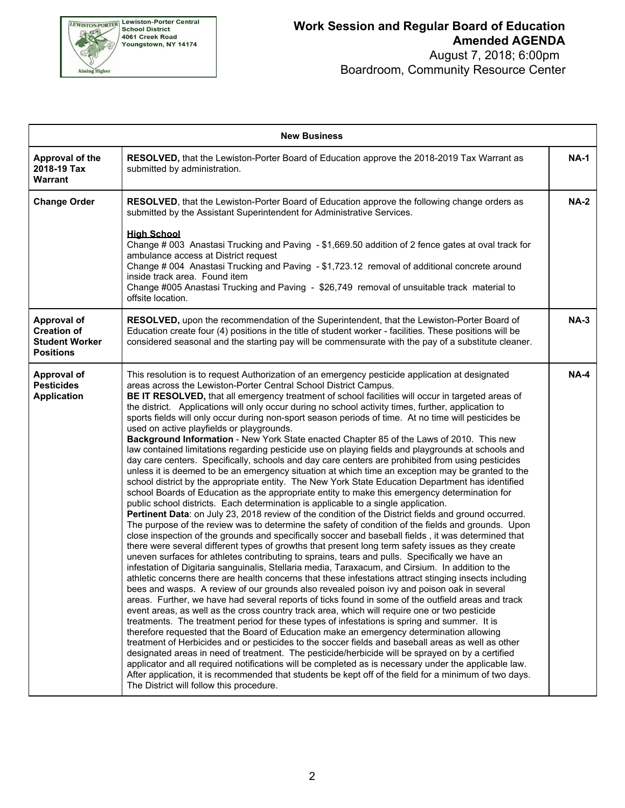

## **Work Session and Regular Board of Education Amended AGENDA**

 Boardroom, Community Resource Center August 7, 2018; 6:00pm

| <b>New Business</b>                                                                   |                                                                                                                                                                                                                                                                                                                                                                                                                                                                                                                                                                                                                                                                                                                                                                                                                                                                                                                                                                                                                                                                                                                                                                                                                                                                                                                                                                                                                                                                                                                                                                                                                                                                                                                                                                                                                                                                                                                                                                                                                                                                                                                                                                                                                                                                                                                                                                                                                                                                                                                                                                                                                                                                                                                                                                                                                                                                                                                                                                   |             |  |  |  |
|---------------------------------------------------------------------------------------|-------------------------------------------------------------------------------------------------------------------------------------------------------------------------------------------------------------------------------------------------------------------------------------------------------------------------------------------------------------------------------------------------------------------------------------------------------------------------------------------------------------------------------------------------------------------------------------------------------------------------------------------------------------------------------------------------------------------------------------------------------------------------------------------------------------------------------------------------------------------------------------------------------------------------------------------------------------------------------------------------------------------------------------------------------------------------------------------------------------------------------------------------------------------------------------------------------------------------------------------------------------------------------------------------------------------------------------------------------------------------------------------------------------------------------------------------------------------------------------------------------------------------------------------------------------------------------------------------------------------------------------------------------------------------------------------------------------------------------------------------------------------------------------------------------------------------------------------------------------------------------------------------------------------------------------------------------------------------------------------------------------------------------------------------------------------------------------------------------------------------------------------------------------------------------------------------------------------------------------------------------------------------------------------------------------------------------------------------------------------------------------------------------------------------------------------------------------------------------------------------------------------------------------------------------------------------------------------------------------------------------------------------------------------------------------------------------------------------------------------------------------------------------------------------------------------------------------------------------------------------------------------------------------------------------------------------------------------|-------------|--|--|--|
| Approval of the<br>2018-19 Tax<br><b>Warrant</b>                                      | RESOLVED, that the Lewiston-Porter Board of Education approve the 2018-2019 Tax Warrant as<br>submitted by administration.                                                                                                                                                                                                                                                                                                                                                                                                                                                                                                                                                                                                                                                                                                                                                                                                                                                                                                                                                                                                                                                                                                                                                                                                                                                                                                                                                                                                                                                                                                                                                                                                                                                                                                                                                                                                                                                                                                                                                                                                                                                                                                                                                                                                                                                                                                                                                                                                                                                                                                                                                                                                                                                                                                                                                                                                                                        | <b>NA-1</b> |  |  |  |
| <b>Change Order</b>                                                                   | RESOLVED, that the Lewiston-Porter Board of Education approve the following change orders as<br>submitted by the Assistant Superintendent for Administrative Services.<br><b>High School</b><br>Change # 003 Anastasi Trucking and Paving - \$1,669.50 addition of 2 fence gates at oval track for<br>ambulance access at District request<br>Change # 004 Anastasi Trucking and Paving - \$1,723.12 removal of additional concrete around<br>inside track area. Found item<br>Change #005 Anastasi Trucking and Paving - \$26,749 removal of unsuitable track material to<br>offsite location.                                                                                                                                                                                                                                                                                                                                                                                                                                                                                                                                                                                                                                                                                                                                                                                                                                                                                                                                                                                                                                                                                                                                                                                                                                                                                                                                                                                                                                                                                                                                                                                                                                                                                                                                                                                                                                                                                                                                                                                                                                                                                                                                                                                                                                                                                                                                                                   | <b>NA-2</b> |  |  |  |
| <b>Approval of</b><br><b>Creation of</b><br><b>Student Worker</b><br><b>Positions</b> | RESOLVED, upon the recommendation of the Superintendent, that the Lewiston-Porter Board of<br>Education create four (4) positions in the title of student worker - facilities. These positions will be<br>considered seasonal and the starting pay will be commensurate with the pay of a substitute cleaner.                                                                                                                                                                                                                                                                                                                                                                                                                                                                                                                                                                                                                                                                                                                                                                                                                                                                                                                                                                                                                                                                                                                                                                                                                                                                                                                                                                                                                                                                                                                                                                                                                                                                                                                                                                                                                                                                                                                                                                                                                                                                                                                                                                                                                                                                                                                                                                                                                                                                                                                                                                                                                                                     | $NA-3$      |  |  |  |
| <b>Approval of</b><br><b>Pesticides</b><br><b>Application</b>                         | This resolution is to request Authorization of an emergency pesticide application at designated<br>areas across the Lewiston-Porter Central School District Campus.<br>BE IT RESOLVED, that all emergency treatment of school facilities will occur in targeted areas of<br>the district. Applications will only occur during no school activity times, further, application to<br>sports fields will only occur during non-sport season periods of time. At no time will pesticides be<br>used on active playfields or playgrounds.<br>Background Information - New York State enacted Chapter 85 of the Laws of 2010. This new<br>law contained limitations regarding pesticide use on playing fields and playgrounds at schools and<br>day care centers. Specifically, schools and day care centers are prohibited from using pesticides<br>unless it is deemed to be an emergency situation at which time an exception may be granted to the<br>school district by the appropriate entity. The New York State Education Department has identified<br>school Boards of Education as the appropriate entity to make this emergency determination for<br>public school districts. Each determination is applicable to a single application.<br>Pertinent Data: on July 23, 2018 review of the condition of the District fields and ground occurred.<br>The purpose of the review was to determine the safety of condition of the fields and grounds. Upon<br>close inspection of the grounds and specifically soccer and baseball fields, it was determined that<br>there were several different types of growths that present long term safety issues as they create<br>uneven surfaces for athletes contributing to sprains, tears and pulls. Specifically we have an<br>infestation of Digitaria sanguinalis, Stellaria media, Taraxacum, and Cirsium. In addition to the<br>athletic concerns there are health concerns that these infestations attract stinging insects including<br>bees and wasps. A review of our grounds also revealed poison ivy and poison oak in several<br>areas. Further, we have had several reports of ticks found in some of the outfield areas and track<br>event areas, as well as the cross country track area, which will require one or two pesticide<br>treatments. The treatment period for these types of infestations is spring and summer. It is<br>therefore requested that the Board of Education make an emergency determination allowing<br>treatment of Herbicides and or pesticides to the soccer fields and baseball areas as well as other<br>designated areas in need of treatment. The pesticide/herbicide will be sprayed on by a certified<br>applicator and all required notifications will be completed as is necessary under the applicable law.<br>After application, it is recommended that students be kept off of the field for a minimum of two days.<br>The District will follow this procedure. | <b>NA-4</b> |  |  |  |